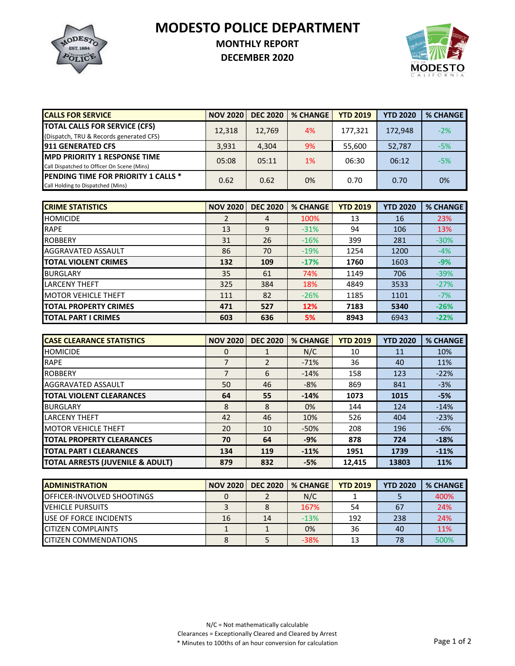**MODESTO POLICE DEPARTMENT**



## **MONTHLY REPORT**

**DECEMBER 2020**



| <b>CALLS FOR SERVICE</b>                    | <b>NOV 2020</b> | <b>DEC 2020</b> | <b>% CHANGE</b> | <b>YTD 2019</b> | <b>YTD 2020</b> | <b>% CHANGE</b> |
|---------------------------------------------|-----------------|-----------------|-----------------|-----------------|-----------------|-----------------|
| <b>TOTAL CALLS FOR SERVICE (CFS)</b>        | 12,318          | 12,769          | 4%              | 177,321         | 172.948         | $-2%$           |
| (Dispatch, TRU & Records generated CFS)     |                 |                 |                 |                 |                 |                 |
| <b>911 GENERATED CFS</b>                    | 3,931           | 4,304           | 9%              | 55,600          | 52,787          | $-5%$           |
| <b>IMPD PRIORITY 1 RESPONSE TIME</b>        | 05:08           | 05:11           | 1%              | 06:30           | 06:12           | $-5%$           |
| Call Dispatched to Officer On Scene (Mins)  |                 |                 |                 |                 |                 |                 |
| <b>IPENDING TIME FOR PRIORITY 1 CALLS *</b> | 0.62            | 0.62            | 0%              | 0.70            | 0.70            | 0%              |
| Call Holding to Dispatched (Mins)           |                 |                 |                 |                 |                 |                 |

| <b>CRIME STATISTICS</b>      | <b>NOV 2020</b> | <b>DEC 2020</b> | <b>% CHANGE</b> | <b>YTD 2019</b> | <b>YTD 2020</b> | <b>% CHANGE</b> |
|------------------------------|-----------------|-----------------|-----------------|-----------------|-----------------|-----------------|
| <b>HOMICIDE</b>              | 2               | 4               | 100%            | 13              | 16              | 23%             |
| <b>RAPE</b>                  | 13              | 9               | $-31%$          | 94              | 106             | 13%             |
| <b>ROBBERY</b>               | 31              | 26              | $-16%$          | 399             | 281             | $-30%$          |
| AGGRAVATED ASSAULT           | 86              | 70              | $-19%$          | 1254            | 1200            | $-4%$           |
| <b>TOTAL VIOLENT CRIMES</b>  | 132             | 109             | $-17%$          | 1760            | 1603            | $-9%$           |
| <b>BURGLARY</b>              | 35              | 61              | 74%             | 1149            | 706             | $-39%$          |
| <b>LARCENY THEFT</b>         | 325             | 384             | 18%             | 4849            | 3533            | $-27%$          |
| <b>IMOTOR VEHICLE THEFT</b>  | 111             | 82              | $-26%$          | 1185            | 1101            | $-7%$           |
| <b>TOTAL PROPERTY CRIMES</b> | 471             | 527             | 12%             | 7183            | 5340            | $-26%$          |
| <b>TOTAL PART I CRIMES</b>   | 603             | 636             | 5%              | 8943            | 6943            | $-22%$          |

| <b>CASE CLEARANCE STATISTICS</b>            | <b>NOV 2020</b> | <b>DEC 2020</b> | <b>% CHANGE</b> | <b>YTD 2019</b> | <b>YTD 2020</b> | <b>% CHANGE</b> |
|---------------------------------------------|-----------------|-----------------|-----------------|-----------------|-----------------|-----------------|
| <b>HOMICIDE</b>                             | 0               |                 | N/C             | 10              | 11              | 10%             |
| <b>RAPE</b>                                 | 7               |                 | $-71%$          | 36              | 40              | 11%             |
| <b>ROBBERY</b>                              | 7               | 6               | $-14%$          | 158             | 123             | $-22%$          |
| AGGRAVATED ASSAULT                          | 50              | 46              | $-8%$           | 869             | 841             | $-3%$           |
| <b>TOTAL VIOLENT CLEARANCES</b>             | 64              | 55              | $-14%$          | 1073            | 1015            | $-5%$           |
| <b>BURGLARY</b>                             | 8               | 8               | 0%              | 144             | 124             | $-14%$          |
| <b>LARCENY THEFT</b>                        | 42              | 46              | 10%             | 526             | 404             | $-23%$          |
| <b>MOTOR VEHICLE THEFT</b>                  | 20              | 10              | $-50%$          | 208             | 196             | $-6%$           |
| <b>TOTAL PROPERTY CLEARANCES</b>            | 70              | 64              | $-9%$           | 878             | 724             | $-18%$          |
| <b>TOTAL PART I CLEARANCES</b>              | 134             | 119             | $-11%$          | 1951            | 1739            | $-11%$          |
| <b>TOTAL ARRESTS (JUVENILE &amp; ADULT)</b> | 879             | 832             | $-5%$           | 12.415          | 13803           | 11%             |

| <b>IADMINISTRATION</b>             | <b>NOV 2020</b> | <b>DEC 2020</b> | <b>% CHANGE</b> | <b>YTD 2019</b> | <b>YTD 2020</b> | <b>% CHANGE</b> |
|------------------------------------|-----------------|-----------------|-----------------|-----------------|-----------------|-----------------|
| <b>IOFFICER-INVOLVED SHOOTINGS</b> |                 |                 | N/C             |                 |                 | 400%            |
| <b>IVEHICLE PURSUITS</b>           |                 |                 | 167%            | 54              | 67              | 24%             |
| <b>IUSE OF FORCE INCIDENTS</b>     | 16              | 14              | $-13%$          | 192             | 238             | 24%             |
| <b>CITIZEN COMPLAINTS</b>          |                 |                 | 0%              | 36              | 40              | 11%             |
| <b>ICITIZEN COMMENDATIONS</b>      |                 |                 | $-38%$          |                 | 78              | 500%            |